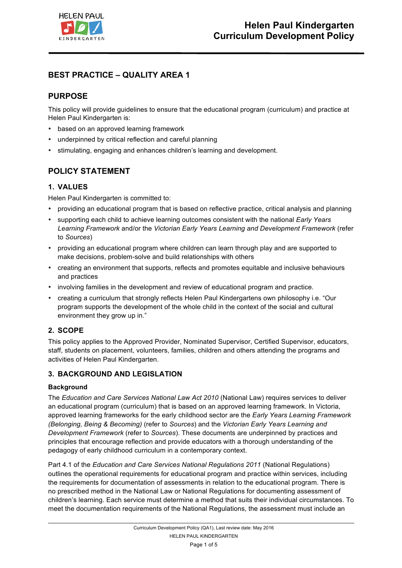

# **BEST PRACTICE – QUALITY AREA 1**

# **PURPOSE**

This policy will provide guidelines to ensure that the educational program (curriculum) and practice at Helen Paul Kindergarten is:

- based on an approved learning framework
- underpinned by critical reflection and careful planning
- stimulating, engaging and enhances children's learning and development.

## **POLICY STATEMENT**

## **1. VALUES**

Helen Paul Kindergarten is committed to:

- providing an educational program that is based on reflective practice, critical analysis and planning
- supporting each child to achieve learning outcomes consistent with the national *Early Years Learning Framework* and/or the *Victorian Early Years Learning and Development Framework* (refer to *Sources*)
- providing an educational program where children can learn through play and are supported to make decisions, problem-solve and build relationships with others
- creating an environment that supports, reflects and promotes equitable and inclusive behaviours and practices
- involving families in the development and review of educational program and practice.
- creating a curriculum that strongly reflects Helen Paul Kindergartens own philosophy i.e. "Our program supports the development of the whole child in the context of the social and cultural environment they grow up in."

## **2. SCOPE**

This policy applies to the Approved Provider, Nominated Supervisor, Certified Supervisor, educators, staff, students on placement, volunteers, families, children and others attending the programs and activities of Helen Paul Kindergarten.

## **3. BACKGROUND AND LEGISLATION**

### **Background**

The *Education and Care Services National Law Act 2010* (National Law) requires services to deliver an educational program (curriculum) that is based on an approved learning framework. In Victoria, approved learning frameworks for the early childhood sector are the *Early Years Learning Framework (Belonging, Being & Becoming)* (refer to *Sources*) and the *Victorian Early Years Learning and Development Framework* (refer to *Sources*). These documents are underpinned by practices and principles that encourage reflection and provide educators with a thorough understanding of the pedagogy of early childhood curriculum in a contemporary context.

Part 4.1 of the *Education and Care Services National Regulations 2011* (National Regulations) outlines the operational requirements for educational program and practice within services, including the requirements for documentation of assessments in relation to the educational program. There is no prescribed method in the National Law or National Regulations for documenting assessment of children's learning. Each service must determine a method that suits their individual circumstances. To meet the documentation requirements of the National Regulations, the assessment must include an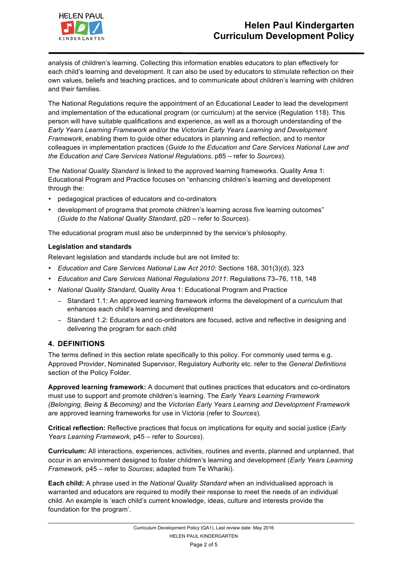

analysis of children's learning. Collecting this information enables educators to plan effectively for each child's learning and development. It can also be used by educators to stimulate reflection on their own values, beliefs and teaching practices, and to communicate about children's learning with children and their families.

The National Regulations require the appointment of an Educational Leader to lead the development and implementation of the educational program (or curriculum) at the service (Regulation 118). This person will have suitable qualifications and experience, as well as a thorough understanding of the *Early Years Learning Framework* and/or the *Victorian Early Years Learning and Development Framework*, enabling them to guide other educators in planning and reflection, and to mentor colleagues in implementation practices (*Guide to the Education and Care Services National Law and the Education and Care Services National Regulations*, p85 – refer to *Sources*).

The *National Quality Standard* is linked to the approved learning frameworks. Quality Area 1: Educational Program and Practice focuses on "enhancing children's learning and development through the:

- pedagogical practices of educators and co-ordinators
- development of programs that promote children's learning across five learning outcomes" (*Guide to the National Quality Standard*, p20 – refer to *Sources*).

The educational program must also be underpinned by the service's philosophy.

### **Legislation and standards**

Relevant legislation and standards include but are not limited to:

- *Education and Care Services National Law Act 2010*: Sections 168, 301(3)(d), 323
- *Education and Care Services National Regulations 2011*: Regulations 73–76, 118, 148
- *National Quality Standard,* Quality Area 1: Educational Program and Practice
	- − Standard 1.1: An approved learning framework informs the development of a curriculum that enhances each child's learning and development
	- − Standard 1.2: Educators and co-ordinators are focused, active and reflective in designing and delivering the program for each child

## **4. DEFINITIONS**

The terms defined in this section relate specifically to this policy. For commonly used terms e.g. Approved Provider, Nominated Supervisor, Regulatory Authority etc. refer to the *General Definitions* section of the Policy Folder.

**Approved learning framework:** A document that outlines practices that educators and co-ordinators must use to support and promote children's learning. The *Early Years Learning Framework (Belonging, Being & Becoming)* and the *Victorian Early Years Learning and Development Framework* are approved learning frameworks for use in Victoria (refer to *Sources*).

**Critical reflection:** Reflective practices that focus on implications for equity and social justice (*Early Years Learning Framework*, p45 – refer to *Sources*).

**Curriculum:** All interactions, experiences, activities, routines and events, planned and unplanned, that occur in an environment designed to foster children's learning and development (*Early Years Learning Framework,* p45 – refer to *Sources*; adapted from Te Whariki).

**Each child:** A phrase used in the *National Quality Standard* when an individualised approach is warranted and educators are required to modify their response to meet the needs of an individual child. An example is 'each child's current knowledge, ideas, culture and interests provide the foundation for the program'.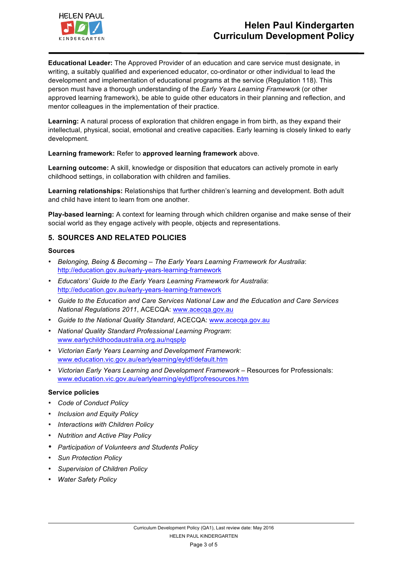

**Educational Leader:** The Approved Provider of an education and care service must designate, in writing, a suitably qualified and experienced educator, co-ordinator or other individual to lead the development and implementation of educational programs at the service (Regulation 118). This person must have a thorough understanding of the *Early Years Learning Framework* (or other approved learning framework), be able to guide other educators in their planning and reflection, and mentor colleagues in the implementation of their practice.

**Learning:** A natural process of exploration that children engage in from birth, as they expand their intellectual, physical, social, emotional and creative capacities. Early learning is closely linked to early development.

### **Learning framework:** Refer to **approved learning framework** above.

**Learning outcome:** A skill, knowledge or disposition that educators can actively promote in early childhood settings, in collaboration with children and families.

**Learning relationships:** Relationships that further children's learning and development. Both adult and child have intent to learn from one another.

**Play-based learning:** A context for learning through which children organise and make sense of their social world as they engage actively with people, objects and representations.

## **5. SOURCES AND RELATED POLICIES**

#### **Sources**

- *Belonging, Being & Becoming – The Early Years Learning Framework for Australia*: http://education.gov.au/early-years-learning-framework
- *Educators' Guide to the Early Years Learning Framework for Australia*: http://education.gov.au/early-years-learning-framework
- *Guide to the Education and Care Services National Law and the Education and Care Services National Regulations 2011*, ACECQA: www.acecqa.gov.au
- *Guide to the National Quality Standard*, ACECQA: www.acecqa.gov.au
- *National Quality Standard Professional Learning Program*: www.earlychildhoodaustralia.org.au/nqsplp
- *Victorian Early Years Learning and Development Framework*: www.education.vic.gov.au/earlylearning/eyldf/default.htm
- *Victorian Early Years Learning and Development Framework* Resources for Professionals: www.education.vic.gov.au/earlylearning/eyldf/profresources.htm

#### **Service policies**

- *Code of Conduct Policy*
- *Inclusion and Equity Policy*
- *Interactions with Children Policy*
- *Nutrition and Active Play Policy*
- *Participation of Volunteers and Students Policy*
- *Sun Protection Policy*
- *Supervision of Children Policy*
- *Water Safety Policy*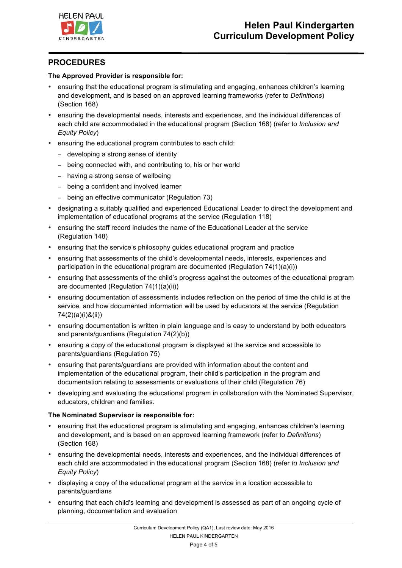

## **PROCEDURES**

### **The Approved Provider is responsible for:**

- ensuring that the educational program is stimulating and engaging, enhances children's learning and development, and is based on an approved learning frameworks (refer to *Definitions*) (Section 168)
- ensuring the developmental needs, interests and experiences, and the individual differences of each child are accommodated in the educational program (Section 168) (refer to *Inclusion and Equity Policy*)
- ensuring the educational program contributes to each child:
	- − developing a strong sense of identity
	- − being connected with, and contributing to, his or her world
	- − having a strong sense of wellbeing
	- − being a confident and involved learner
	- − being an effective communicator (Regulation 73)
- designating a suitably qualified and experienced Educational Leader to direct the development and implementation of educational programs at the service (Regulation 118)
- ensuring the staff record includes the name of the Educational Leader at the service (Regulation 148)
- ensuring that the service's philosophy guides educational program and practice
- ensuring that assessments of the child's developmental needs, interests, experiences and participation in the educational program are documented (Regulation 74(1)(a)(i))
- ensuring that assessments of the child's progress against the outcomes of the educational program are documented (Regulation 74(1)(a)(ii))
- ensuring documentation of assessments includes reflection on the period of time the child is at the service, and how documented information will be used by educators at the service (Regulation 74(2)(a)(i)&(ii))
- ensuring documentation is written in plain language and is easy to understand by both educators and parents/guardians (Regulation 74(2)(b))
- ensuring a copy of the educational program is displayed at the service and accessible to parents/guardians (Regulation 75)
- ensuring that parents/guardians are provided with information about the content and implementation of the educational program, their child's participation in the program and documentation relating to assessments or evaluations of their child (Regulation 76)
- developing and evaluating the educational program in collaboration with the Nominated Supervisor, educators, children and families.

### **The Nominated Supervisor is responsible for:**

- ensuring that the educational program is stimulating and engaging, enhances children's learning and development, and is based on an approved learning framework (refer to *Definitions*) (Section 168)
- ensuring the developmental needs, interests and experiences, and the individual differences of each child are accommodated in the educational program (Section 168) (refer *to Inclusion and Equity Policy*)
- displaying a copy of the educational program at the service in a location accessible to parents/guardians
- ensuring that each child's learning and development is assessed as part of an ongoing cycle of planning, documentation and evaluation